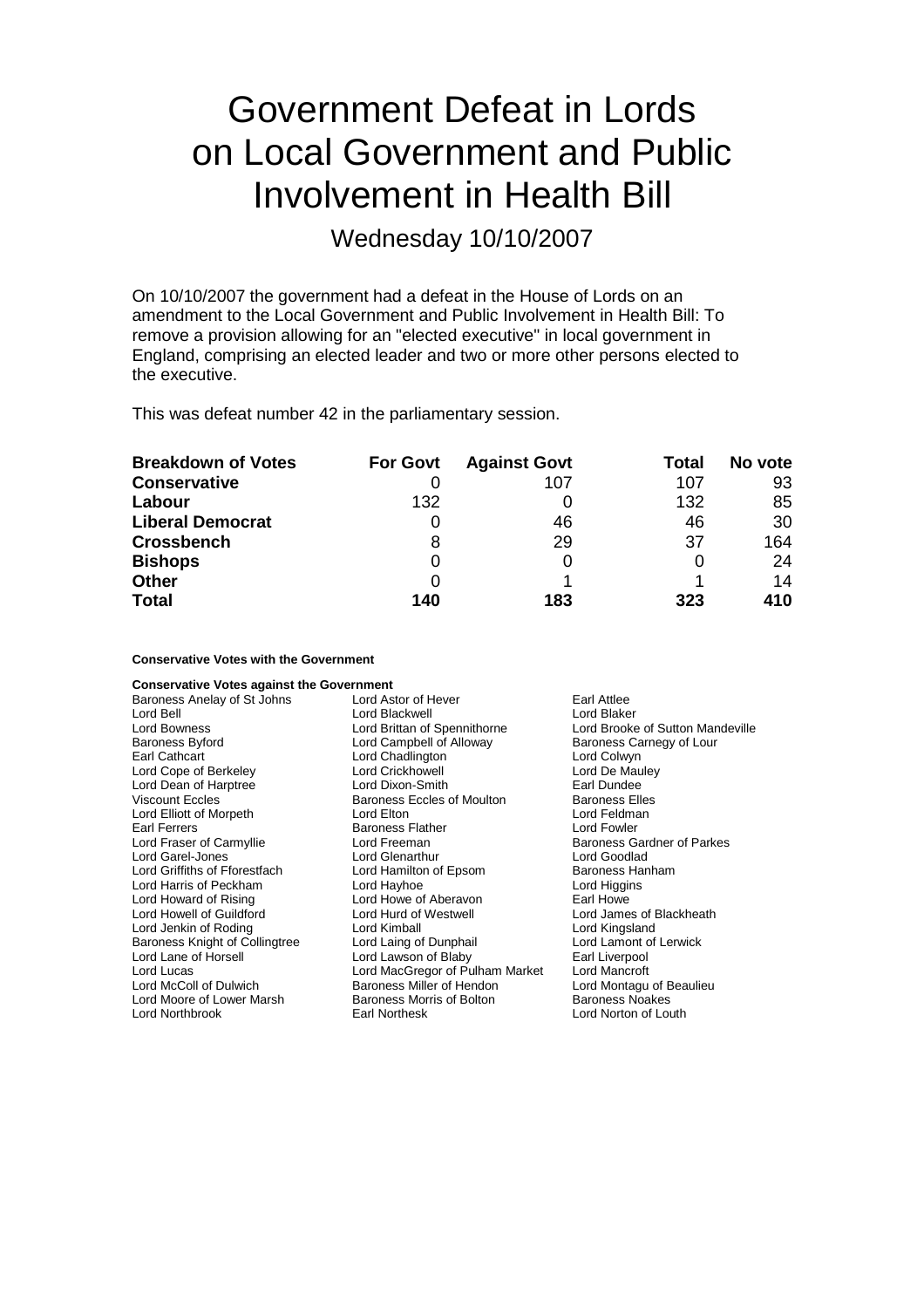# Government Defeat in Lords on Local Government and Public Involvement in Health Bill

Wednesday 10/10/2007

On 10/10/2007 the government had a defeat in the House of Lords on an amendment to the Local Government and Public Involvement in Health Bill: To remove a provision allowing for an "elected executive" in local government in England, comprising an elected leader and two or more other persons elected to the executive.

This was defeat number 42 in the parliamentary session.

| <b>Breakdown of Votes</b> | <b>For Govt</b> | <b>Against Govt</b> | Total | No vote |
|---------------------------|-----------------|---------------------|-------|---------|
| <b>Conservative</b>       |                 | 107                 | 107   | 93      |
| Labour                    | 132             |                     | 132   | 85      |
| <b>Liberal Democrat</b>   |                 | 46                  | 46    | 30      |
| <b>Crossbench</b>         | 8               | 29                  | 37    | 164     |
| <b>Bishops</b>            | 0               | 0                   |       | 24      |
| <b>Other</b>              |                 |                     |       | 14      |
| <b>Total</b>              | 140             | 183                 | 323   | 410     |

**Conservative Votes with the Government**

| <b>Conservative Votes against the Government</b> |                                    |                                   |
|--------------------------------------------------|------------------------------------|-----------------------------------|
| Baroness Anelay of St Johns                      | Lord Astor of Hever<br>Earl Attlee |                                   |
| Lord Bell                                        | Lord Blackwell                     | Lord Blaker                       |
| <b>Lord Bowness</b>                              | Lord Brittan of Spennithorne       | Lord Brooke of Sutton Mandeville  |
| <b>Baroness Byford</b>                           | Lord Campbell of Alloway           | Baroness Carnegy of Lour          |
| Earl Cathcart                                    | Lord Chadlington                   | Lord Colwyn                       |
| Lord Cope of Berkeley                            | <b>Lord Crickhowell</b>            | Lord De Mauley                    |
| Lord Dean of Harptree                            | Lord Dixon-Smith                   | Earl Dundee                       |
| <b>Viscount Eccles</b>                           | <b>Baroness Eccles of Moulton</b>  | <b>Baroness Elles</b>             |
| Lord Elliott of Morpeth                          | Lord Elton                         | Lord Feldman                      |
| Earl Ferrers                                     | <b>Baroness Flather</b>            | Lord Fowler                       |
| Lord Fraser of Carmyllie                         | Lord Freeman                       | <b>Baroness Gardner of Parkes</b> |
| Lord Garel-Jones                                 | Lord Glenarthur                    | Lord Goodlad                      |
| Lord Griffiths of Fforestfach                    | Lord Hamilton of Epsom             | Baroness Hanham                   |
| Lord Harris of Peckham                           | Lord Hayhoe                        | Lord Higgins                      |
| Lord Howard of Rising                            | Lord Howe of Aberavon              | Earl Howe                         |
| Lord Howell of Guildford                         | Lord Hurd of Westwell              | Lord James of Blackheath          |
| Lord Jenkin of Roding                            | Lord Kimball                       | Lord Kingsland                    |
| Baroness Knight of Collingtree                   | Lord Laing of Dunphail             | Lord Lamont of Lerwick            |
| Lord Lane of Horsell                             | Lord Lawson of Blaby               | Earl Liverpool                    |
| Lord Lucas                                       | Lord MacGregor of Pulham Market    | Lord Mancroft                     |
| Lord McColl of Dulwich                           | Baroness Miller of Hendon          | Lord Montagu of Beaulieu          |
| Lord Moore of Lower Marsh                        | Baroness Morris of Bolton          | <b>Baroness Noakes</b>            |
| Lord Northbrook                                  | Earl Northesk                      | Lord Norton of Louth              |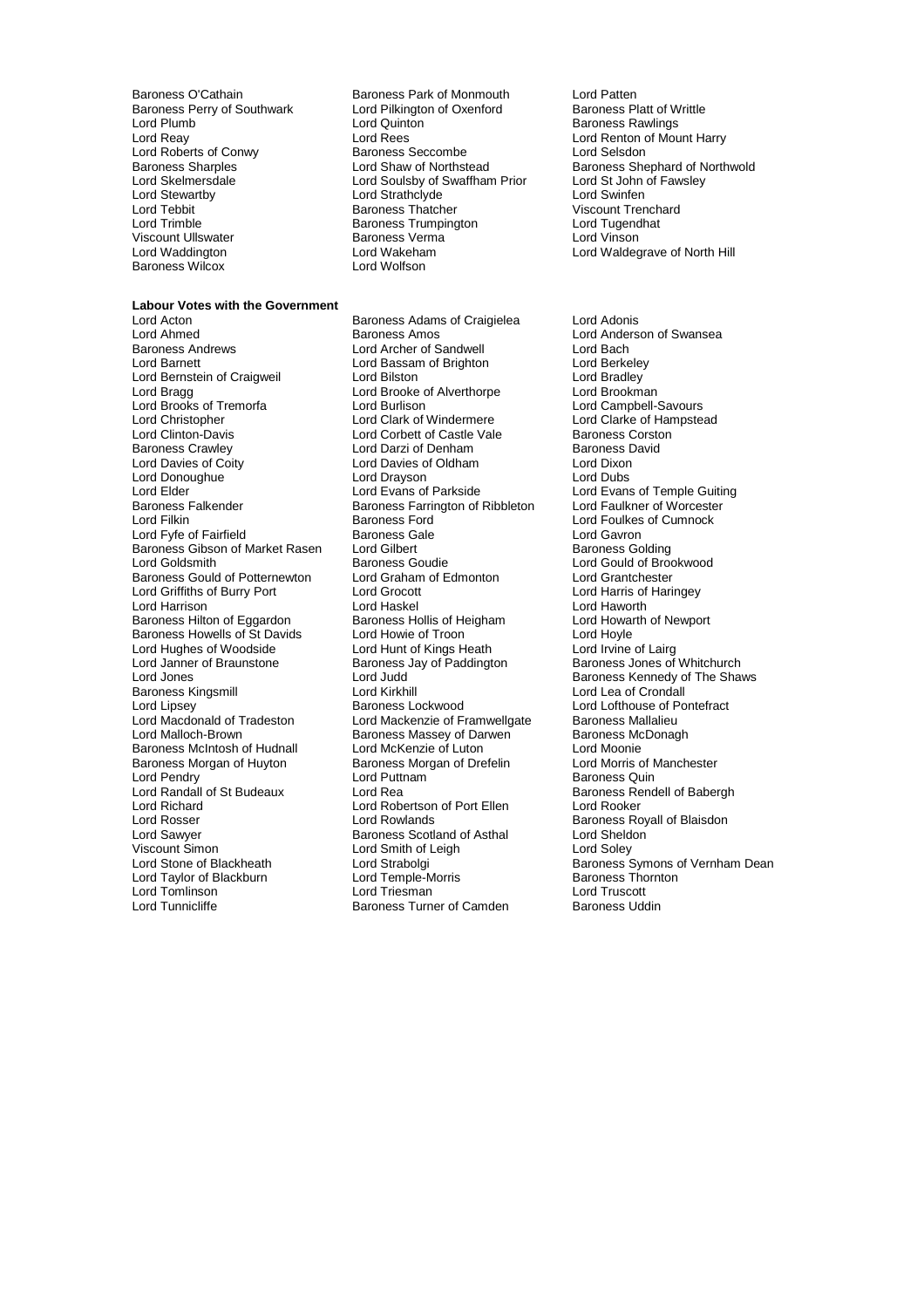Baroness O'Cathain **Baroness Park of Monmouth** Lord Patten<br>Baroness Perry of Southwark Lord Pilkington of Oxenford Baroness Platt of Writtle Baroness Perry of Southwark Lord Pilkington Cord Pilkington Cord Pilkington Cord Baroness Platt of South Maroness Platt of Pilkington Cord Baroness Platt of Maroness Platt of Maroness Platt of Maroness Platt of Maroness Pl Lord Roberts of Conwy<br>
Baroness Sharoles<br>
Baroness Sharoles<br>
Cord Shaw of Northstead Viscount Ullswater **Baroness Verma**<br>1989 Lord Waddington<br>1999 Lord Wakeham Baroness Wilcox

### **Labour Votes with the Government**

Lord Ahmed **Baroness Amos** Cord Anderson of Swansea<br>
Baroness Andrews **Baroness Andrews** Lord Archer of Sandwell<br>
Lord Bach Baroness Andrews Lord Archer of Sandwell Lord Bach Lord Bernstein of Craigweil **Lord Bilston**<br>
Lord Bradley Lord Brooke of Alverthorpe Lord Brookman<br>
Lord Bradque Lord Brookman Lord Brooks of Tremorfa<br>
Lord Christopher Lord Clark of Windermere Lord Christopher Lord Clark of Windermere Lord Clarke of Hampstead<br>
Lord Clinton-Davis Lord Corbett of Castle Vale Baroness Corston Lord Clinton-Davis **Lord Corbett of Castle Vale** Baroness Corstoners<br>Baroness Crawley **Lord Darzi of Denham** Baroness David Baroness Crawley **Carry Communist Contract Contract Contract Contract Contract Contract Contract Contract Contr**<br>
Lord Davies of Corto Lord Davies of Oldham<br>
Lord Davies of Corto Lord Davies of Oldham Lord Donoughue Lord Drayson<br>
Lord Elder Lord Evans of Parkside Lord Elder Temple Guiting<br>
Lord Evans of Temple Guiting<br>
Baroness Farrington of Ribbleton Lord Faulkner of Worcester Baroness Falkender Baroness Farrington of Ribbleton Lord Filkin Lord Filkin Lord Fyfe of Fairfield Baroness Gale Baroness Gibson of Market Rasen Lord Gilbert Communication and Baroness Golding<br>
Lord Gould of Browness Goudie Cord Could of Browness Goulde Baroness Gould of Potternewton Lord Griffiths of Burry Port Lord Grocott Lord Harris of Haringey Lord Harrison **Lord Haskel** Lord Haskel Lord Haworth Cord Haworth Cord Hay Lord Haworth Lord Howarth of Newport<br>
Baroness Hilton of Eggardon Baroness Hollis of Heigham Lord Howarth of Newport Baroness Hilton of Eggardon Baroness Hollis of Heigham Lord Howarth Baroness Howells of St Davids Lord Howie of Troon Baroness Howells of St Davids Lord Hughes of Woodside Lord Hunt of Kings Heath<br>
Lord Janner of Braunstone Baroness Jay of Paddington Lord Hughes of Woodside<br>
Lord Janner of Braunstone Baroness Jay of Paddington Baroness Jones of Whitchurch<br>
Lord Jones Lord Jones Lord Judd Baroness Kennedy of The Shave Baroness Kingsmill **Example 2** Lord Kirkhill<br>
Lord Lipsey **Baroness Lockwood** Lord Lipsey  $\overline{\phantom{a}}$  Baroness Lockwood  $\overline{\phantom{a}}$  Lord Lofthouse of Pontefract<br>Lord Macdonald of Tradeston Lord Mackenzie of Framwelloate Baroness Mallalieu Lord Macdonald of Tradeston Lord Mackenzie of Framwellgate<br>Lord Malloch-Brown Lord Baroness Massev of Darwen Baroness McIntosh of Hudnall Lord McKenzie of Luton<br>
Baroness Morgan of Huyton Baroness Morgan of Drefelin Lord Morris of Manchester Baroness Morgan of Huyton Baroness Morgan of Drefelin<br>
Lord Pendry Lord Puttnam Lord Pendry Theory Corresponding Lord Puttnam Theory Corresponding to Baroness Quin<br>
Lord Randall of St Budeaux Lord Rea Lord Randall of St Budeaux Lord Rea Baroness Rendell of Babergh<br>
Lord Richard Cord Robertson of Port Ellen Lord Rooker Lord Rosser Lord Rowlands Baroness Royall of Blaisdon<br>
Lord Sawyer Baroness Scotland of Asthal Bord Sheldon Lord Sawyer **Baroness Scotland of Asthal**<br>
Viscount Simon **Baroness Scotland of Asthal** Viscount Simon and Cord Soley Lord Solet Lord Soley<br>Lord Stone of Blackheath Lord Strabolgi and Cord Stroness S Lord Taylor of Blackburn Lord Temple-Morris Baroness Thornton Baroness Thornton Lord Truscott<br>Lord Tornton Lord Truscott Lord Truscott

Lord Plumb **Lord August 2018** Lord Quinton **Construction Baroness Rawlings**<br>
Lord Reav **Lord Rees** Lord Rees **Lord Renton** of Mou Lord Rees<br>
Baroness Seccombe<br>
Lord Selsdon<br>
Lord Selsdon Lord Soulsby of Swaffham Prior Lord Stewartby **Lord Strathclyde** Cord Strathclyde Cord Swinfen<br>
Lord Tebbit **Cord Strathclyde** Baroness Thatcher Corner Corporation Ciscount Trer Lord Tebbit **Contains Trenchard**<br>
Lord Trimble **Contains Tranchard**<br>
Baroness Trumpington **Contains Contains Tranchard**<br>
Lord Tugendhat Exaroness Trumpington Lord Tugendhate Baroness Verma<br>
Lord Vinson Lord Wakeham **Lord Waldegrave of North Hill**<br>
Lord Wolfson

Baroness Adams of Craigielea Lord Adonis Lord Bassam of Brighton Lord Berkeley<br>
Lord Bilston Lord Bradley Lord Brooke of Alverthorpe Lord Brookman<br>
Lord Burlison Lord Campbell-Savours Lord Davies of Oldham Lord Dixon<br>
Lord Dravson Lord Dubs Baroness Goudie **Lord Gould of Brookwood**<br> **Lord Graham of Edmonton** Lord Grantchester Lord Judd Baroness Kennedy of The Shaws<br>Lord Judd Baroness Kennedy of The Shaws<br>Lord Kirkhill Lord Lea of Crondall Baroness Massey of Darwen Baroness McDonagh Lord Robertson of Port Ellen<br>Lord Rowlands Lord Tomlinson Lord Triesman Lord Truscott Baroness Turner of Camden

Baroness Sharples<br>
Lord Shaw of Northstead Baroness Shephard of Northwold<br>
Lord St John of Fawsley<br>
Lord St John of Fawsley

Lord Foulkes of Cumnock<br>Lord Gayron Lord Strabolgi **Chackheath Corporation Corporation**<br>
Baroness Thornton<br>
Baroness Thornton